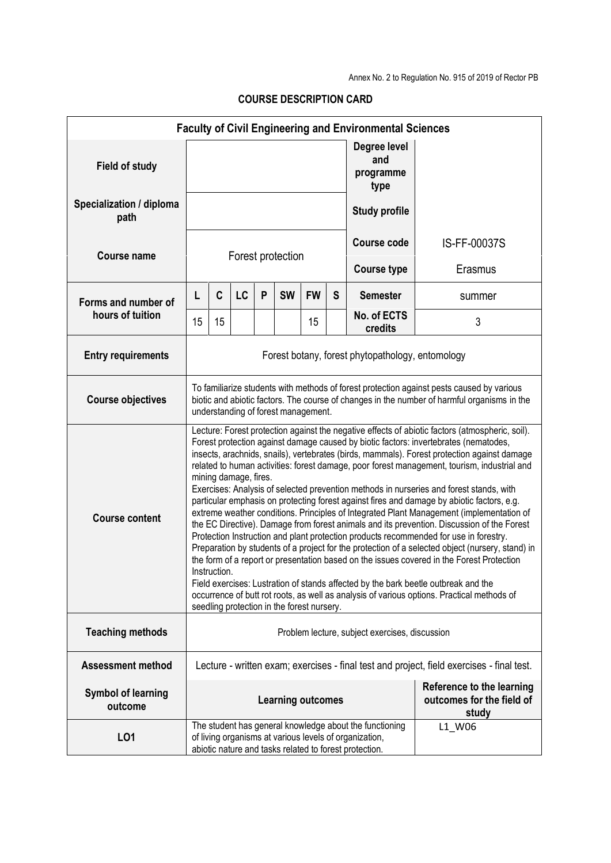| <b>Faculty of Civil Engineering and Environmental Sciences</b> |                                                                                                                                                                                                                                                                                                                                                                                                                                                                                                                                                                                                                                                                                                                                                                                                                                                                                                                                                                                                                                                                                                                                                                                                                                                                                                                                               |                                                                                                                                                                                       |           |   |           |           |   |                                          |                                                                 |
|----------------------------------------------------------------|-----------------------------------------------------------------------------------------------------------------------------------------------------------------------------------------------------------------------------------------------------------------------------------------------------------------------------------------------------------------------------------------------------------------------------------------------------------------------------------------------------------------------------------------------------------------------------------------------------------------------------------------------------------------------------------------------------------------------------------------------------------------------------------------------------------------------------------------------------------------------------------------------------------------------------------------------------------------------------------------------------------------------------------------------------------------------------------------------------------------------------------------------------------------------------------------------------------------------------------------------------------------------------------------------------------------------------------------------|---------------------------------------------------------------------------------------------------------------------------------------------------------------------------------------|-----------|---|-----------|-----------|---|------------------------------------------|-----------------------------------------------------------------|
| <b>Field of study</b>                                          |                                                                                                                                                                                                                                                                                                                                                                                                                                                                                                                                                                                                                                                                                                                                                                                                                                                                                                                                                                                                                                                                                                                                                                                                                                                                                                                                               |                                                                                                                                                                                       |           |   |           |           |   | Degree level<br>and<br>programme<br>type |                                                                 |
| Specialization / diploma<br>path                               |                                                                                                                                                                                                                                                                                                                                                                                                                                                                                                                                                                                                                                                                                                                                                                                                                                                                                                                                                                                                                                                                                                                                                                                                                                                                                                                                               |                                                                                                                                                                                       |           |   |           |           |   | <b>Study profile</b>                     |                                                                 |
| Course name                                                    |                                                                                                                                                                                                                                                                                                                                                                                                                                                                                                                                                                                                                                                                                                                                                                                                                                                                                                                                                                                                                                                                                                                                                                                                                                                                                                                                               |                                                                                                                                                                                       |           |   |           |           |   | <b>Course code</b>                       | IS-FF-00037S                                                    |
|                                                                | Forest protection                                                                                                                                                                                                                                                                                                                                                                                                                                                                                                                                                                                                                                                                                                                                                                                                                                                                                                                                                                                                                                                                                                                                                                                                                                                                                                                             |                                                                                                                                                                                       |           |   |           |           |   | <b>Course type</b>                       | Erasmus                                                         |
| Forms and number of<br>hours of tuition                        | L                                                                                                                                                                                                                                                                                                                                                                                                                                                                                                                                                                                                                                                                                                                                                                                                                                                                                                                                                                                                                                                                                                                                                                                                                                                                                                                                             | C                                                                                                                                                                                     | <b>LC</b> | P | <b>SW</b> | <b>FW</b> | S | <b>Semester</b>                          | summer                                                          |
|                                                                | 15                                                                                                                                                                                                                                                                                                                                                                                                                                                                                                                                                                                                                                                                                                                                                                                                                                                                                                                                                                                                                                                                                                                                                                                                                                                                                                                                            | 15                                                                                                                                                                                    |           |   |           | 15        |   | No. of ECTS<br>credits                   | 3                                                               |
| <b>Entry requirements</b>                                      |                                                                                                                                                                                                                                                                                                                                                                                                                                                                                                                                                                                                                                                                                                                                                                                                                                                                                                                                                                                                                                                                                                                                                                                                                                                                                                                                               | Forest botany, forest phytopathology, entomology                                                                                                                                      |           |   |           |           |   |                                          |                                                                 |
| <b>Course objectives</b>                                       | To familiarize students with methods of forest protection against pests caused by various<br>biotic and abiotic factors. The course of changes in the number of harmful organisms in the<br>understanding of forest management.                                                                                                                                                                                                                                                                                                                                                                                                                                                                                                                                                                                                                                                                                                                                                                                                                                                                                                                                                                                                                                                                                                               |                                                                                                                                                                                       |           |   |           |           |   |                                          |                                                                 |
| <b>Course content</b>                                          | Lecture: Forest protection against the negative effects of abiotic factors (atmospheric, soil).<br>Forest protection against damage caused by biotic factors: invertebrates (nematodes,<br>insects, arachnids, snails), vertebrates (birds, mammals). Forest protection against damage<br>related to human activities: forest damage, poor forest management, tourism, industrial and<br>mining damage, fires.<br>Exercises: Analysis of selected prevention methods in nurseries and forest stands, with<br>particular emphasis on protecting forest against fires and damage by abiotic factors, e.g.<br>extreme weather conditions. Principles of Integrated Plant Management (implementation of<br>the EC Directive). Damage from forest animals and its prevention. Discussion of the Forest<br>Protection Instruction and plant protection products recommended for use in forestry.<br>Preparation by students of a project for the protection of a selected object (nursery, stand) in<br>the form of a report or presentation based on the issues covered in the Forest Protection<br>Instruction.<br>Field exercises: Lustration of stands affected by the bark beetle outbreak and the<br>occurrence of butt rot roots, as well as analysis of various options. Practical methods of<br>seedling protection in the forest nursery. |                                                                                                                                                                                       |           |   |           |           |   |                                          |                                                                 |
| <b>Teaching methods</b>                                        | Problem lecture, subject exercises, discussion                                                                                                                                                                                                                                                                                                                                                                                                                                                                                                                                                                                                                                                                                                                                                                                                                                                                                                                                                                                                                                                                                                                                                                                                                                                                                                |                                                                                                                                                                                       |           |   |           |           |   |                                          |                                                                 |
| <b>Assessment method</b>                                       | Lecture - written exam; exercises - final test and project, field exercises - final test.                                                                                                                                                                                                                                                                                                                                                                                                                                                                                                                                                                                                                                                                                                                                                                                                                                                                                                                                                                                                                                                                                                                                                                                                                                                     |                                                                                                                                                                                       |           |   |           |           |   |                                          |                                                                 |
| <b>Symbol of learning</b><br>outcome                           | <b>Learning outcomes</b>                                                                                                                                                                                                                                                                                                                                                                                                                                                                                                                                                                                                                                                                                                                                                                                                                                                                                                                                                                                                                                                                                                                                                                                                                                                                                                                      |                                                                                                                                                                                       |           |   |           |           |   |                                          | Reference to the learning<br>outcomes for the field of<br>study |
| L01                                                            |                                                                                                                                                                                                                                                                                                                                                                                                                                                                                                                                                                                                                                                                                                                                                                                                                                                                                                                                                                                                                                                                                                                                                                                                                                                                                                                                               | The student has general knowledge about the functioning<br>L1_W06<br>of living organisms at various levels of organization,<br>abiotic nature and tasks related to forest protection. |           |   |           |           |   |                                          |                                                                 |

## **COURSE DESCRIPTION CARD**